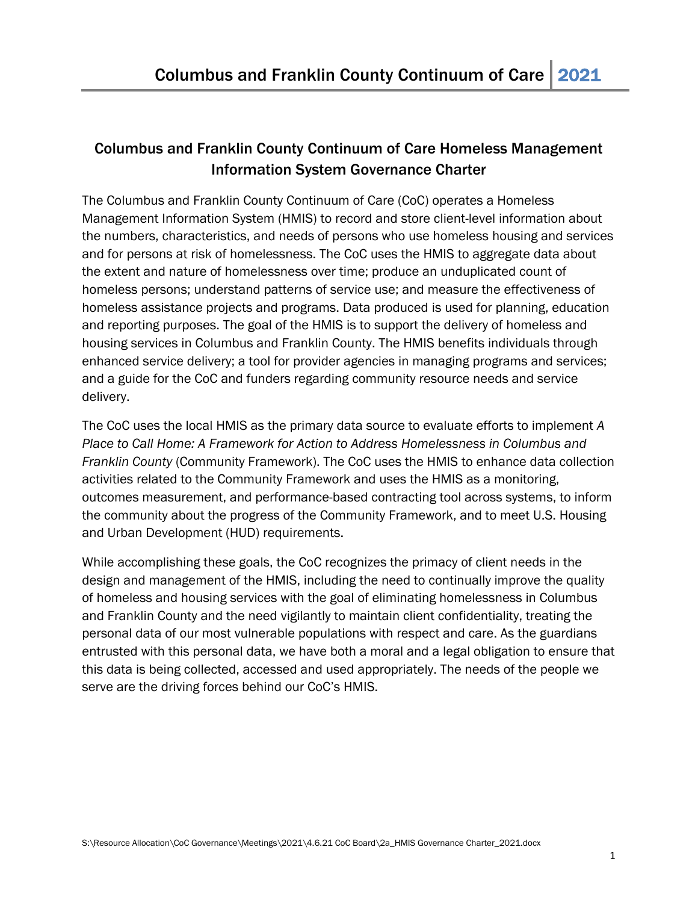# Columbus and Franklin County Continuum of Care Homeless Management Information System Governance Charter

The Columbus and Franklin County Continuum of Care (CoC) operates a Homeless Management Information System (HMIS) to record and store client-level information about the numbers, characteristics, and needs of persons who use homeless housing and services and for persons at risk of homelessness. The CoC uses the HMIS to aggregate data about the extent and nature of homelessness over time; produce an unduplicated count of homeless persons; understand patterns of service use; and measure the effectiveness of homeless assistance projects and programs. Data produced is used for planning, education and reporting purposes. The goal of the HMIS is to support the delivery of homeless and housing services in Columbus and Franklin County. The HMIS benefits individuals through enhanced service delivery; a tool for provider agencies in managing programs and services; and a guide for the CoC and funders regarding community resource needs and service delivery.

The CoC uses the local HMIS as the primary data source to evaluate efforts to implement *A Place to Call Home: A Framework for Action to Address Homelessness in Columbus and Franklin County* (Community Framework). The CoC uses the HMIS to enhance data collection activities related to the Community Framework and uses the HMIS as a monitoring, outcomes measurement, and performance-based contracting tool across systems, to inform the community about the progress of the Community Framework, and to meet U.S. Housing and Urban Development (HUD) requirements.

While accomplishing these goals, the CoC recognizes the primacy of client needs in the design and management of the HMIS, including the need to continually improve the quality of homeless and housing services with the goal of eliminating homelessness in Columbus and Franklin County and the need vigilantly to maintain client confidentiality, treating the personal data of our most vulnerable populations with respect and care. As the guardians entrusted with this personal data, we have both a moral and a legal obligation to ensure that this data is being collected, accessed and used appropriately. The needs of the people we serve are the driving forces behind our CoC's HMIS.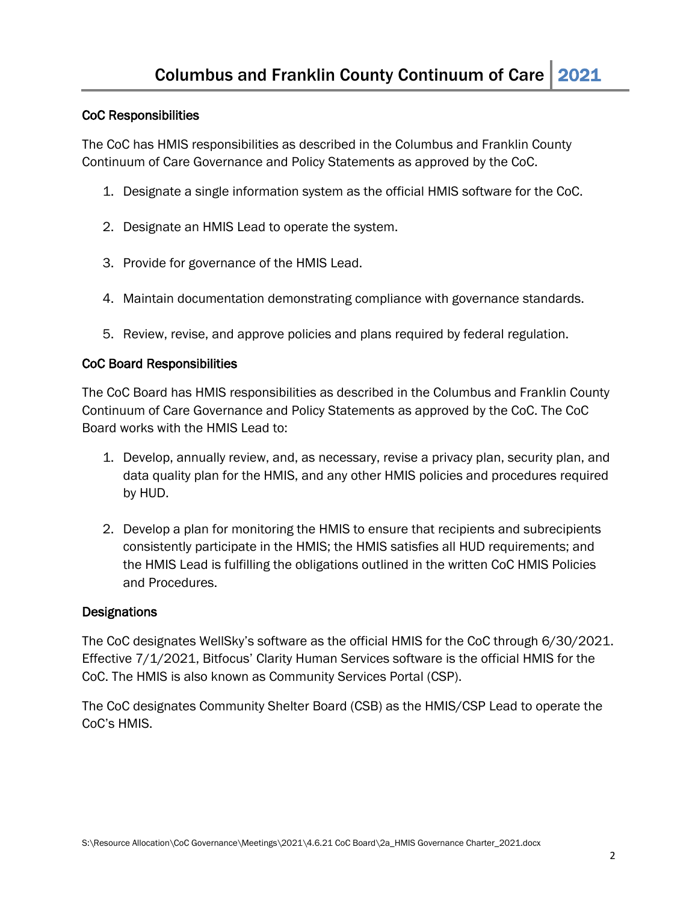## CoC Responsibilities

The CoC has HMIS responsibilities as described in the Columbus and Franklin County Continuum of Care Governance and Policy Statements as approved by the CoC.

- 1. Designate a single information system as the official HMIS software for the CoC.
- 2. Designate an HMIS Lead to operate the system.
- 3. Provide for governance of the HMIS Lead.
- 4. Maintain documentation demonstrating compliance with governance standards.
- 5. Review, revise, and approve policies and plans required by federal regulation.

#### CoC Board Responsibilities

The CoC Board has HMIS responsibilities as described in the Columbus and Franklin County Continuum of Care Governance and Policy Statements as approved by the CoC. The CoC Board works with the HMIS Lead to:

- 1. Develop, annually review, and, as necessary, revise a privacy plan, security plan, and data quality plan for the HMIS, and any other HMIS policies and procedures required by HUD.
- 2. Develop a plan for monitoring the HMIS to ensure that recipients and subrecipients consistently participate in the HMIS; the HMIS satisfies all HUD requirements; and the HMIS Lead is fulfilling the obligations outlined in the written CoC HMIS Policies and Procedures.

#### **Designations**

The CoC designates WellSky's software as the official HMIS for the CoC through 6/30/2021. Effective 7/1/2021, Bitfocus' Clarity Human Services software is the official HMIS for the CoC. The HMIS is also known as Community Services Portal (CSP).

The CoC designates Community Shelter Board (CSB) as the HMIS/CSP Lead to operate the CoC's HMIS.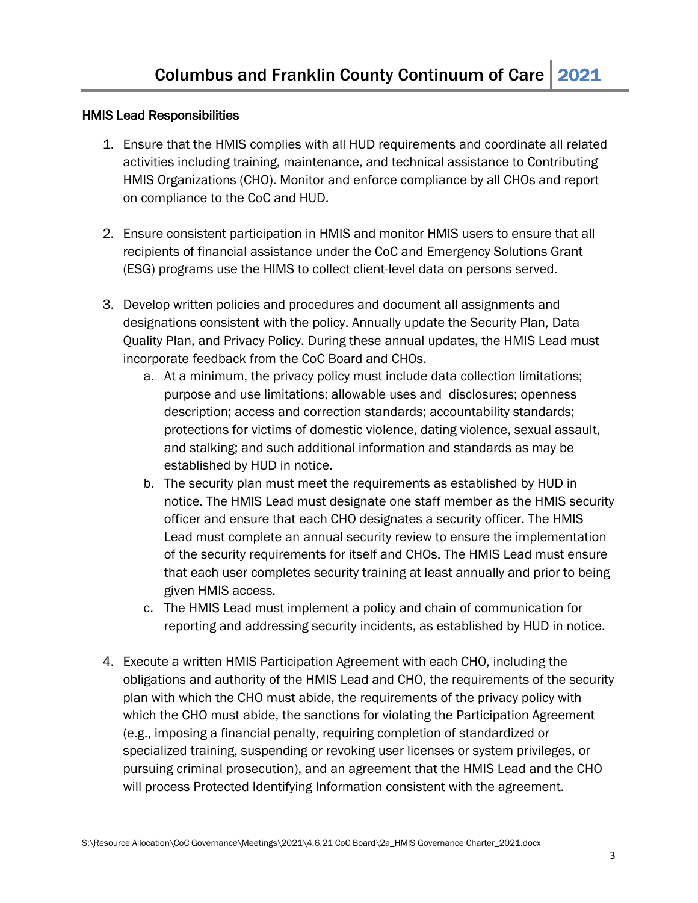#### HMIS Lead Responsibilities

- 1. Ensure that the HMIS complies with all HUD requirements and coordinate all related activities including training, maintenance, and technical assistance to Contributing HMIS Organizations (CHO). Monitor and enforce compliance by all CHOs and report on compliance to the CoC and HUD.
- 2. Ensure consistent participation in HMIS and monitor HMIS users to ensure that all recipients of financial assistance under the CoC and Emergency Solutions Grant (ESG) programs use the HIMS to collect client-level data on persons served.
- 3. Develop written policies and procedures and document all assignments and designations consistent with the policy. Annually update the Security Plan, Data Quality Plan, and Privacy Policy. During these annual updates, the HMIS Lead must incorporate feedback from the CoC Board and CHOs.
	- a. At a minimum, the privacy policy must include data collection limitations; purpose and use limitations; allowable uses and disclosures; openness description; access and correction standards; accountability standards; protections for victims of domestic violence, dating violence, sexual assault, and stalking; and such additional information and standards as may be established by HUD in notice.
	- b. The security plan must meet the requirements as established by HUD in notice. The HMIS Lead must designate one staff member as the HMIS security officer and ensure that each CHO designates a security officer. The HMIS Lead must complete an annual security review to ensure the implementation of the security requirements for itself and CHOs. The HMIS Lead must ensure that each user completes security training at least annually and prior to being given HMIS access.
	- c. The HMIS Lead must implement a policy and chain of communication for reporting and addressing security incidents, as established by HUD in notice.
- 4. Execute a written HMIS Participation Agreement with each CHO, including the obligations and authority of the HMIS Lead and CHO, the requirements of the security plan with which the CHO must abide, the requirements of the privacy policy with which the CHO must abide, the sanctions for violating the Participation Agreement (e.g., imposing a financial penalty, requiring completion of standardized or specialized training, suspending or revoking user licenses or system privileges, or pursuing criminal prosecution), and an agreement that the HMIS Lead and the CHO will process Protected Identifying Information consistent with the agreement.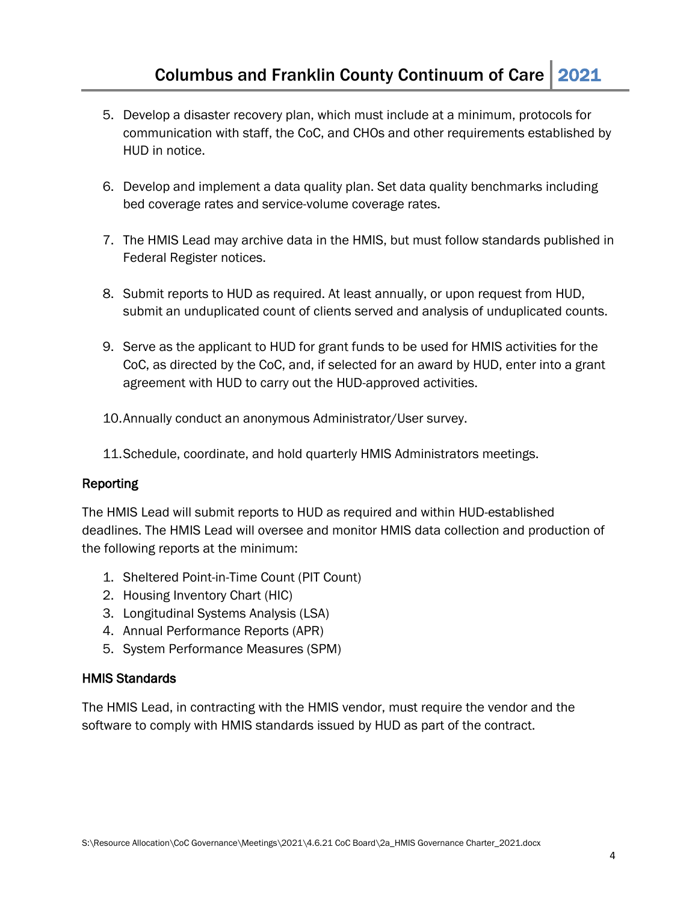- 5. Develop a disaster recovery plan, which must include at a minimum, protocols for communication with staff, the CoC, and CHOs and other requirements established by HUD in notice.
- 6. Develop and implement a data quality plan. Set data quality benchmarks including bed coverage rates and service-volume coverage rates.
- 7. The HMIS Lead may archive data in the HMIS, but must follow standards published in Federal Register notices.
- 8. Submit reports to HUD as required. At least annually, or upon request from HUD, submit an unduplicated count of clients served and analysis of unduplicated counts.
- 9. Serve as the applicant to HUD for grant funds to be used for HMIS activities for the CoC, as directed by the CoC, and, if selected for an award by HUD, enter into a grant agreement with HUD to carry out the HUD-approved activities.
- 10.Annually conduct an anonymous Administrator/User survey.
- 11.Schedule, coordinate, and hold quarterly HMIS Administrators meetings.

#### Reporting

The HMIS Lead will submit reports to HUD as required and within HUD-established deadlines. The HMIS Lead will oversee and monitor HMIS data collection and production of the following reports at the minimum:

- 1. Sheltered Point-in-Time Count (PIT Count)
- 2. Housing Inventory Chart (HIC)
- 3. Longitudinal Systems Analysis (LSA)
- 4. Annual Performance Reports (APR)
- 5. System Performance Measures (SPM)

#### HMIS Standards

The HMIS Lead, in contracting with the HMIS vendor, must require the vendor and the software to comply with HMIS standards issued by HUD as part of the contract.